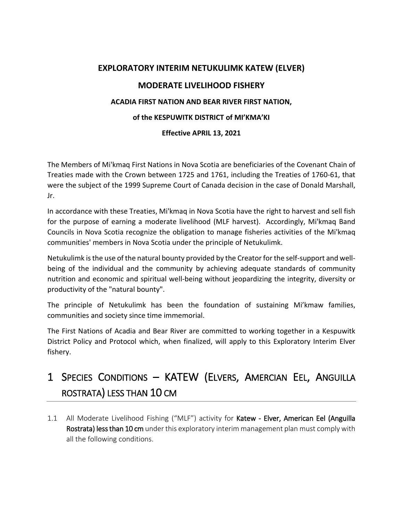# **EXPLORATORY INTERIM NETUKULIMK KATEW (ELVER) MODERATE LIVELIHOOD FISHERY ACADIA FIRST NATION AND BEAR RIVER FIRST NATION,**

# **of the KESPUWITK DISTRICT of MI'KMA'KI**

# **Effective APRIL 13, 2021**

The Members of Mi'kmaq First Nations in Nova Scotia are beneficiaries of the Covenant Chain of Treaties made with the Crown between 1725 and 1761, including the Treaties of 1760-61, that were the subject of the 1999 Supreme Court of Canada decision in the case of Donald Marshall, Jr.

In accordance with these Treaties, Mi'kmaq in Nova Scotia have the right to harvest and sell fish for the purpose of earning a moderate livelihood (MLF harvest). Accordingly, Mi'kmaq Band Councils in Nova Scotia recognize the obligation to manage fisheries activities of the Mi'kmaq communities' members in Nova Scotia under the principle of Netukulimk.

Netukulimk is the use of the natural bounty provided by the Creator for the self-support and wellbeing of the individual and the community by achieving adequate standards of community nutrition and economic and spiritual well-being without jeopardizing the integrity, diversity or productivity of the "natural bounty".

The principle of Netukulimk has been the foundation of sustaining Mi'kmaw families, communities and society since time immemorial.

The First Nations of Acadia and Bear River are committed to working together in a Kespuwitk District Policy and Protocol which, when finalized, will apply to this Exploratory Interim Elver fishery.

# 1 SPECIES CONDITIONS – KATEW (ELVERS, AMERCIAN EEL, ANGUILLA ROSTRATA) LESS THAN 10 CM

1.1 All Moderate Livelihood Fishing ("MLF") activity for Katew - Elver, American Eel (Anguilla Rostrata) less than 10 cm under this exploratory interim management plan must comply with all the following conditions.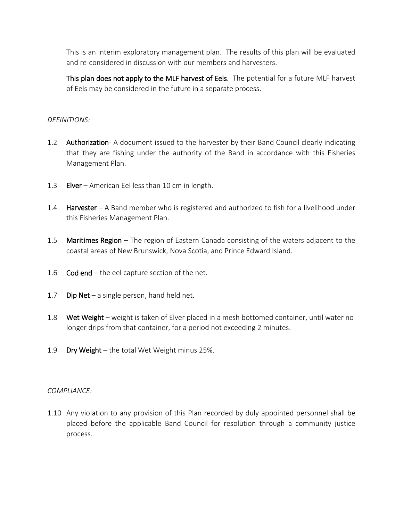This is an interim exploratory management plan. The results of this plan will be evaluated and re-considered in discussion with our members and harvesters.

This plan does not apply to the MLF harvest of Eels. The potential for a future MLF harvest of Eels may be considered in the future in a separate process.

## *DEFINITIONS:*

- 1.2 Authorization- A document issued to the harvester by their Band Council clearly indicating that they are fishing under the authority of the Band in accordance with this Fisheries Management Plan.
- 1.3 Elver American Eel less than 10 cm in length.
- 1.4 Harvester A Band member who is registered and authorized to fish for a livelihood under this Fisheries Management Plan.
- 1.5 **Maritimes Region** The region of Eastern Canada consisting of the waters adjacent to the coastal areas of New Brunswick, Nova Scotia, and Prince Edward Island.
- 1.6  $\cot$  end the eel capture section of the net.
- 1.7 Dip Net a single person, hand held net.
- 1.8 Wet Weight weight is taken of Elver placed in a mesh bottomed container, until water no longer drips from that container, for a period not exceeding 2 minutes.
- 1.9 Dry Weight the total Wet Weight minus 25%.

### *COMPLIANCE:*

1.10 Any violation to any provision of this Plan recorded by duly appointed personnel shall be placed before the applicable Band Council for resolution through a community justice process.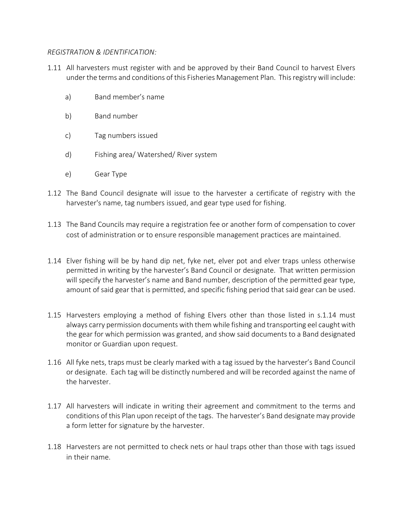## *REGISTRATION & IDENTIFICATION:*

- 1.11 All harvesters must register with and be approved by their Band Council to harvest Elvers under the terms and conditions of this Fisheries Management Plan. This registry will include:
	- a) Band member's name
	- b) Band number
	- c) Tag numbers issued
	- d) Fishing area/ Watershed/ River system
	- e) Gear Type
- 1.12 The Band Council designate will issue to the harvester a certificate of registry with the harvester's name, tag numbers issued, and gear type used for fishing.
- 1.13 The Band Councils may require a registration fee or another form of compensation to cover cost of administration or to ensure responsible management practices are maintained.
- 1.14 Elver fishing will be by hand dip net, fyke net, elver pot and elver traps unless otherwise permitted in writing by the harvester's Band Council or designate. That written permission will specify the harvester's name and Band number, description of the permitted gear type, amount of said gear that is permitted, and specific fishing period that said gear can be used.
- 1.15 Harvesters employing a method of fishing Elvers other than those listed in s.1.14 must always carry permission documents with them while fishing and transporting eel caught with the gear for which permission was granted, and show said documents to a Band designated monitor or Guardian upon request.
- 1.16 All fyke nets, traps must be clearly marked with a tag issued by the harvester's Band Council or designate. Each tag will be distinctly numbered and will be recorded against the name of the harvester.
- 1.17 All harvesters will indicate in writing their agreement and commitment to the terms and conditions of this Plan upon receipt of the tags. The harvester's Band designate may provide a form letter for signature by the harvester.
- 1.18 Harvesters are not permitted to check nets or haul traps other than those with tags issued in their name.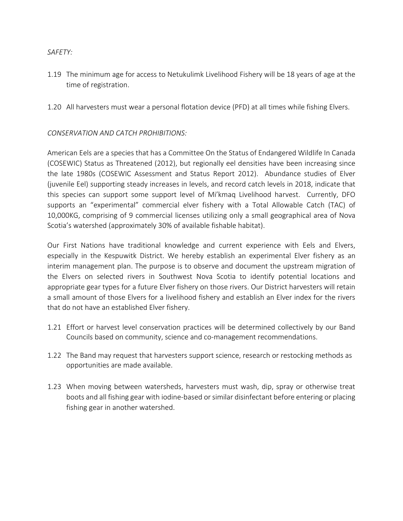## *SAFETY:*

- 1.19 The minimum age for access to Netukulimk Livelihood Fishery will be 18 years of age at the time of registration.
- 1.20 All harvesters must wear a personal flotation device (PFD) at all times while fishing Elvers.

# *CONSERVATION AND CATCH PROHIBITIONS:*

American Eels are a species that has a Committee On the Status of Endangered Wildlife In Canada (COSEWIC) Status as Threatened (2012), but regionally eel densities have been increasing since the late 1980s (COSEWIC Assessment and Status Report 2012). Abundance studies of Elver (juvenile Eel) supporting steady increases in levels, and record catch levels in 2018, indicate that this species can support some support level of Mi'kmaq Livelihood harvest. Currently, DFO supports an "experimental" commercial elver fishery with a Total Allowable Catch (TAC) of 10,000KG, comprising of 9 commercial licenses utilizing only a small geographical area of Nova Scotia's watershed (approximately 30% of available fishable habitat).

Our First Nations have traditional knowledge and current experience with Eels and Elvers, especially in the Kespuwitk District. We hereby establish an experimental Elver fishery as an interim management plan. The purpose is to observe and document the upstream migration of the Elvers on selected rivers in Southwest Nova Scotia to identify potential locations and appropriate gear types for a future Elver fishery on those rivers. Our District harvesters will retain a small amount of those Elvers for a livelihood fishery and establish an Elver index for the rivers that do not have an established Elver fishery.

- 1.21 Effort or harvest level conservation practices will be determined collectively by our Band Councils based on community, science and co-management recommendations.
- 1.22 The Band may request that harvesters support science, research or restocking methods as opportunities are made available.
- 1.23 When moving between watersheds, harvesters must wash, dip, spray or otherwise treat boots and all fishing gear with iodine-based or similar disinfectant before entering or placing fishing gear in another watershed.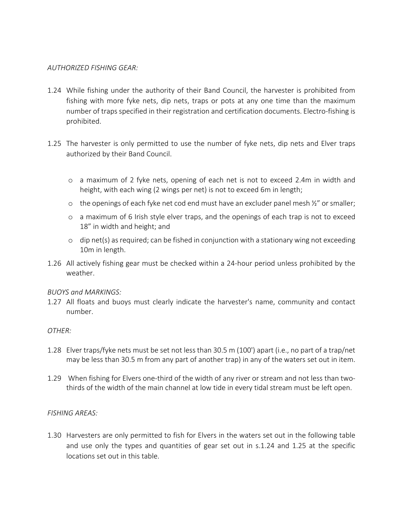## *AUTHORIZED FISHING GEAR:*

- 1.24 While fishing under the authority of their Band Council, the harvester is prohibited from fishing with more fyke nets, dip nets, traps or pots at any one time than the maximum number of traps specified in their registration and certification documents. Electro-fishing is prohibited.
- 1.25 The harvester is only permitted to use the number of fyke nets, dip nets and Elver traps authorized by their Band Council.
	- o a maximum of 2 fyke nets, opening of each net is not to exceed 2.4m in width and height, with each wing (2 wings per net) is not to exceed 6m in length;
	- $\circ$  the openings of each fyke net cod end must have an excluder panel mesh  $\frac{1}{2}$ " or smaller;
	- o a maximum of 6 Irish style elver traps, and the openings of each trap is not to exceed 18" in width and height; and
	- o dip net(s) as required; can be fished in conjunction with a stationary wing not exceeding 10m in length.
- 1.26 All actively fishing gear must be checked within a 24-hour period unless prohibited by the weather.

### *BUOYS and MARKINGS:*

1.27 All floats and buoys must clearly indicate the harvester's name, community and contact number.

### *OTHER:*

- 1.28 Elver traps/fyke nets must be set not less than 30.5 m (100') apart (i.e., no part of a trap/net may be less than 30.5 m from any part of another trap) in any of the waters set out in item.
- 1.29 When fishing for Elvers one-third of the width of any river or stream and not less than twothirds of the width of the main channel at low tide in every tidal stream must be left open.

### *FISHING AREAS:*

1.30 Harvesters are only permitted to fish for Elvers in the waters set out in the following table and use only the types and quantities of gear set out in s.1.24 and 1.25 at the specific locations set out in this table.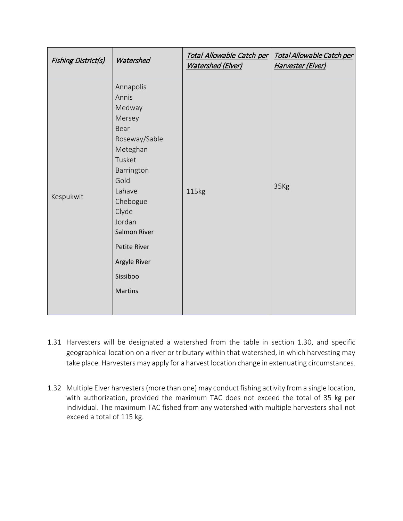| <b>Fishing District(s)</b> | Watershed                                                                                                                                                                                                                          | Total Allowable Catch per<br><b>Watershed (Elver)</b> | Total Allowable Catch per<br>Harvester (Elver) |
|----------------------------|------------------------------------------------------------------------------------------------------------------------------------------------------------------------------------------------------------------------------------|-------------------------------------------------------|------------------------------------------------|
| Kespukwit                  | Annapolis<br>Annis<br>Medway<br>Mersey<br>Bear<br>Roseway/Sable<br>Meteghan<br>Tusket<br>Barrington<br>Gold<br>Lahave<br>Chebogue<br>Clyde<br>Jordan<br>Salmon River<br>Petite River<br>Argyle River<br>Sissiboo<br><b>Martins</b> | 115kg                                                 | 35Kg                                           |

- 1.31 Harvesters will be designated a watershed from the table in section 1.30, and specific geographical location on a river or tributary within that watershed, in which harvesting may take place. Harvesters may apply for a harvest location change in extenuating circumstances.
- 1.32 Multiple Elver harvesters (more than one) may conduct fishing activity from a single location, with authorization, provided the maximum TAC does not exceed the total of 35 kg per individual. The maximum TAC fished from any watershed with multiple harvesters shall not exceed a total of 115 kg.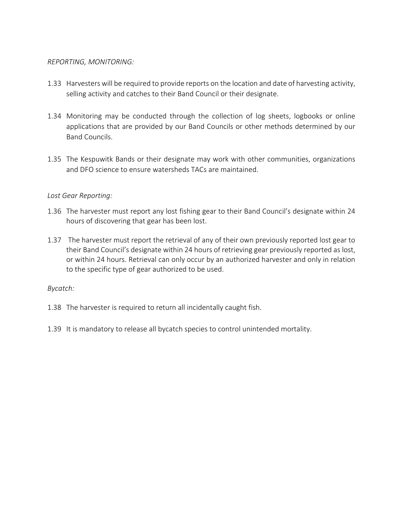## *REPORTING, MONITORING:*

- 1.33 Harvesters will be required to provide reports on the location and date of harvesting activity, selling activity and catches to their Band Council or their designate.
- 1.34 Monitoring may be conducted through the collection of log sheets, logbooks or online applications that are provided by our Band Councils or other methods determined by our Band Councils.
- 1.35 The Kespuwitk Bands or their designate may work with other communities, organizations and DFO science to ensure watersheds TACs are maintained.

# *Lost Gear Reporting:*

- 1.36 The harvester must report any lost fishing gear to their Band Council's designate within 24 hours of discovering that gear has been lost.
- 1.37 The harvester must report the retrieval of any of their own previously reported lost gear to their Band Council's designate within 24 hours of retrieving gear previously reported as lost, or within 24 hours. Retrieval can only occur by an authorized harvester and only in relation to the specific type of gear authorized to be used.

### *Bycatch:*

- 1.38 The harvester is required to return all incidentally caught fish.
- 1.39 It is mandatory to release all bycatch species to control unintended mortality.